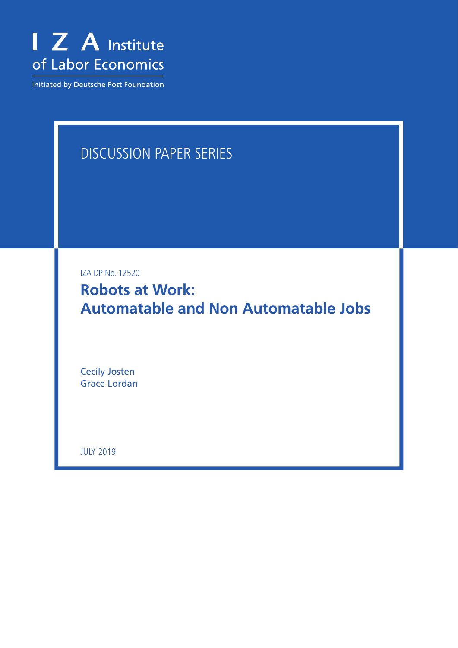

Initiated by Deutsche Post Foundation

# DISCUSSION PAPER SERIES

IZA DP No. 12520

**Robots at Work: Automatable and Non Automatable Jobs**

Cecily Josten Grace Lordan

JULY 2019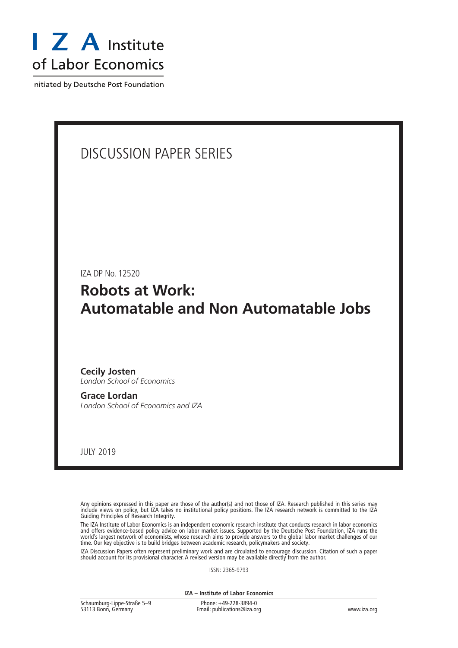

Initiated by Deutsche Post Foundation

## DISCUSSION PAPER SERIES

IZA DP No. 12520

**Robots at Work: Automatable and Non Automatable Jobs**

**Cecily Josten** *London School of Economics*

**Grace Lordan** *London School of Economics and IZA*

JULY 2019

Any opinions expressed in this paper are those of the author(s) and not those of IZA. Research published in this series may include views on policy, but IZA takes no institutional policy positions. The IZA research network is committed to the IZA Guiding Principles of Research Integrity.

The IZA Institute of Labor Economics is an independent economic research institute that conducts research in labor economics and offers evidence-based policy advice on labor market issues. Supported by the Deutsche Post Foundation, IZA runs the world's largest network of economists, whose research aims to provide answers to the global labor market challenges of our time. Our key objective is to build bridges between academic research, policymakers and society.

IZA Discussion Papers often represent preliminary work and are circulated to encourage discussion. Citation of such a paper should account for its provisional character. A revised version may be available directly from the author.

ISSN: 2365-9793

**IZA – Institute of Labor Economics**

| Schaumburg-Lippe-Straße 5-9 | Phone: +49-228-3894-0       |             |
|-----------------------------|-----------------------------|-------------|
| 53113 Bonn, Germany         | Email: publications@iza.org | www.iza.org |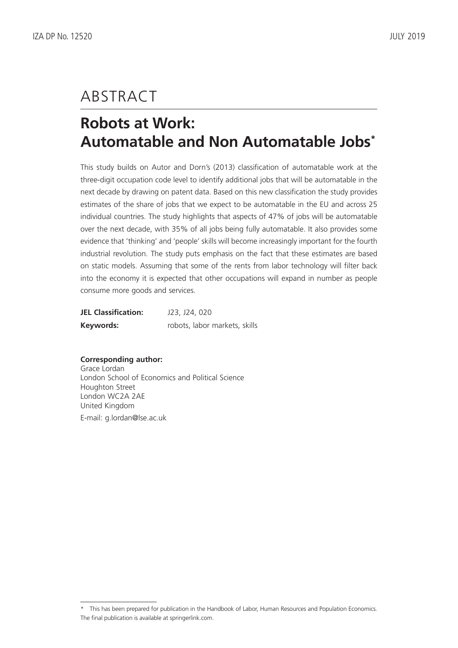# ABSTRACT

# **Robots at Work: Automatable and Non Automatable Jobs\***

This study builds on Autor and Dorn's (2013) classification of automatable work at the three-digit occupation code level to identify additional jobs that will be automatable in the next decade by drawing on patent data. Based on this new classification the study provides estimates of the share of jobs that we expect to be automatable in the EU and across 25 individual countries. The study highlights that aspects of 47% of jobs will be automatable over the next decade, with 35% of all jobs being fully automatable. It also provides some evidence that 'thinking' and 'people' skills will become increasingly important for the fourth industrial revolution. The study puts emphasis on the fact that these estimates are based on static models. Assuming that some of the rents from labor technology will filter back into the economy it is expected that other occupations will expand in number as people consume more goods and services.

| <b>JEL Classification:</b> | J23, J24, 020                 |
|----------------------------|-------------------------------|
| Keywords:                  | robots, labor markets, skills |

### **Corresponding author:**

Grace Lordan London School of Economics and Political Science Houghton Street London WC2A 2AE United Kingdom E-mail: g.lordan@lse.ac.uk

<sup>\*</sup> This has been prepared for publication in the Handbook of Labor, Human Resources and Population Economics. The final publication is available at springerlink.com.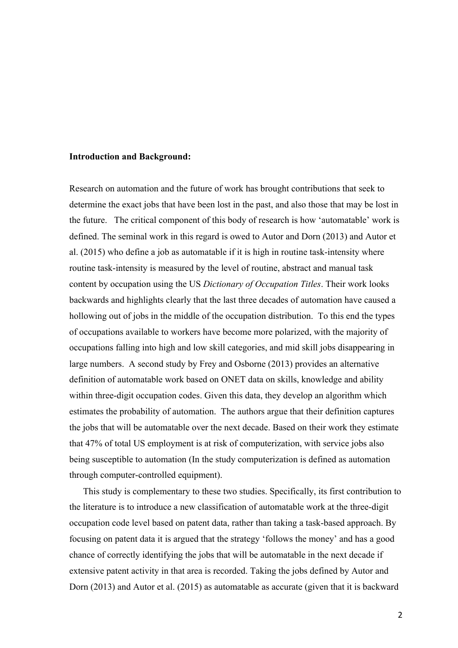#### **Introduction and Background:**

Research on automation and the future of work has brought contributions that seek to determine the exact jobs that have been lost in the past, and also those that may be lost in the future. The critical component of this body of research is how 'automatable' work is defined. The seminal work in this regard is owed to Autor and Dorn (2013) and Autor et al. (2015) who define a job as automatable if it is high in routine task-intensity where routine task-intensity is measured by the level of routine, abstract and manual task content by occupation using the US *Dictionary of Occupation Titles*. Their work looks backwards and highlights clearly that the last three decades of automation have caused a hollowing out of jobs in the middle of the occupation distribution. To this end the types of occupations available to workers have become more polarized, with the majority of occupations falling into high and low skill categories, and mid skill jobs disappearing in large numbers. A second study by Frey and Osborne (2013) provides an alternative definition of automatable work based on ONET data on skills, knowledge and ability within three-digit occupation codes. Given this data, they develop an algorithm which estimates the probability of automation. The authors argue that their definition captures the jobs that will be automatable over the next decade. Based on their work they estimate that 47% of total US employment is at risk of computerization, with service jobs also being susceptible to automation (In the study computerization is defined as automation through computer-controlled equipment).

This study is complementary to these two studies. Specifically, its first contribution to the literature is to introduce a new classification of automatable work at the three-digit occupation code level based on patent data, rather than taking a task-based approach. By focusing on patent data it is argued that the strategy 'follows the money' and has a good chance of correctly identifying the jobs that will be automatable in the next decade if extensive patent activity in that area is recorded. Taking the jobs defined by Autor and Dorn (2013) and Autor et al. (2015) as automatable as accurate (given that it is backward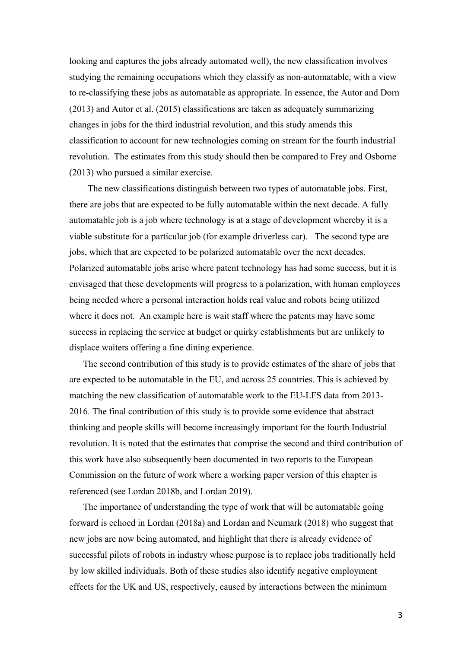looking and captures the jobs already automated well), the new classification involves studying the remaining occupations which they classify as non-automatable, with a view to re-classifying these jobs as automatable as appropriate. In essence, the Autor and Dorn (2013) and Autor et al. (2015) classifications are taken as adequately summarizing changes in jobs for the third industrial revolution, and this study amends this classification to account for new technologies coming on stream for the fourth industrial revolution. The estimates from this study should then be compared to Frey and Osborne (2013) who pursued a similar exercise.

The new classifications distinguish between two types of automatable jobs. First, there are jobs that are expected to be fully automatable within the next decade. A fully automatable job is a job where technology is at a stage of development whereby it is a viable substitute for a particular job (for example driverless car). The second type are jobs, which that are expected to be polarized automatable over the next decades. Polarized automatable jobs arise where patent technology has had some success, but it is envisaged that these developments will progress to a polarization, with human employees being needed where a personal interaction holds real value and robots being utilized where it does not. An example here is wait staff where the patents may have some success in replacing the service at budget or quirky establishments but are unlikely to displace waiters offering a fine dining experience.

The second contribution of this study is to provide estimates of the share of jobs that are expected to be automatable in the EU, and across 25 countries. This is achieved by matching the new classification of automatable work to the EU-LFS data from 2013- 2016. The final contribution of this study is to provide some evidence that abstract thinking and people skills will become increasingly important for the fourth Industrial revolution. It is noted that the estimates that comprise the second and third contribution of this work have also subsequently been documented in two reports to the European Commission on the future of work where a working paper version of this chapter is referenced (see Lordan 2018b, and Lordan 2019).

The importance of understanding the type of work that will be automatable going forward is echoed in Lordan (2018a) and Lordan and Neumark (2018) who suggest that new jobs are now being automated, and highlight that there is already evidence of successful pilots of robots in industry whose purpose is to replace jobs traditionally held by low skilled individuals. Both of these studies also identify negative employment effects for the UK and US, respectively, caused by interactions between the minimum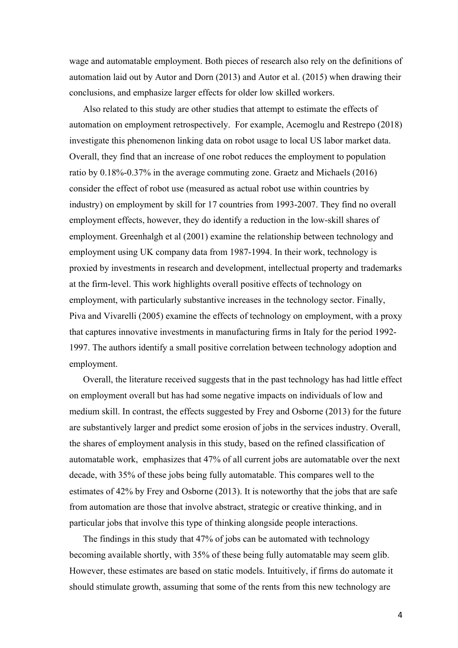wage and automatable employment. Both pieces of research also rely on the definitions of automation laid out by Autor and Dorn (2013) and Autor et al. (2015) when drawing their conclusions, and emphasize larger effects for older low skilled workers.

Also related to this study are other studies that attempt to estimate the effects of automation on employment retrospectively. For example, Acemoglu and Restrepo (2018) investigate this phenomenon linking data on robot usage to local US labor market data. Overall, they find that an increase of one robot reduces the employment to population ratio by 0.18%-0.37% in the average commuting zone. Graetz and Michaels (2016) consider the effect of robot use (measured as actual robot use within countries by industry) on employment by skill for 17 countries from 1993-2007. They find no overall employment effects, however, they do identify a reduction in the low-skill shares of employment. Greenhalgh et al (2001) examine the relationship between technology and employment using UK company data from 1987-1994. In their work, technology is proxied by investments in research and development, intellectual property and trademarks at the firm-level. This work highlights overall positive effects of technology on employment, with particularly substantive increases in the technology sector. Finally, Piva and Vivarelli (2005) examine the effects of technology on employment, with a proxy that captures innovative investments in manufacturing firms in Italy for the period 1992- 1997. The authors identify a small positive correlation between technology adoption and employment.

Overall, the literature received suggests that in the past technology has had little effect on employment overall but has had some negative impacts on individuals of low and medium skill. In contrast, the effects suggested by Frey and Osborne (2013) for the future are substantively larger and predict some erosion of jobs in the services industry. Overall, the shares of employment analysis in this study, based on the refined classification of automatable work, emphasizes that 47% of all current jobs are automatable over the next decade, with 35% of these jobs being fully automatable. This compares well to the estimates of 42% by Frey and Osborne (2013). It is noteworthy that the jobs that are safe from automation are those that involve abstract, strategic or creative thinking, and in particular jobs that involve this type of thinking alongside people interactions.

The findings in this study that 47% of jobs can be automated with technology becoming available shortly, with 35% of these being fully automatable may seem glib. However, these estimates are based on static models. Intuitively, if firms do automate it should stimulate growth, assuming that some of the rents from this new technology are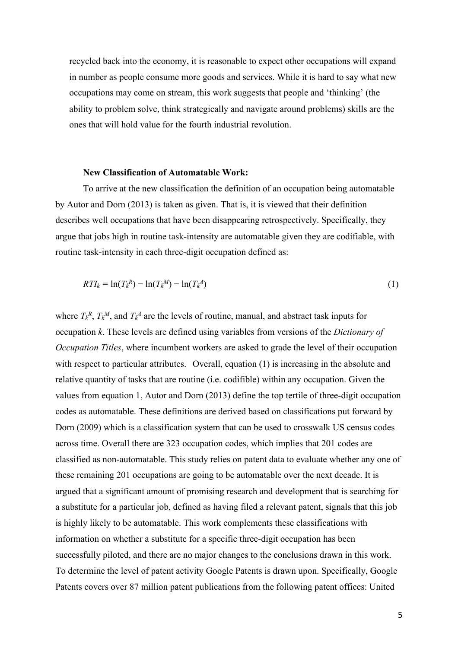recycled back into the economy, it is reasonable to expect other occupations will expand in number as people consume more goods and services. While it is hard to say what new occupations may come on stream, this work suggests that people and 'thinking' (the ability to problem solve, think strategically and navigate around problems) skills are the ones that will hold value for the fourth industrial revolution.

#### **New Classification of Automatable Work:**

To arrive at the new classification the definition of an occupation being automatable by Autor and Dorn (2013) is taken as given. That is, it is viewed that their definition describes well occupations that have been disappearing retrospectively. Specifically, they argue that jobs high in routine task-intensity are automatable given they are codifiable, with routine task-intensity in each three-digit occupation defined as:

$$
RTI_k = \ln(T_k^R) - \ln(T_k^M) - \ln(T_k^A) \tag{1}
$$

where  $T_k^R$ ,  $T_k^M$ , and  $T_k^A$  are the levels of routine, manual, and abstract task inputs for occupation *k*. These levels are defined using variables from versions of the *Dictionary of Occupation Titles*, where incumbent workers are asked to grade the level of their occupation with respect to particular attributes. Overall, equation (1) is increasing in the absolute and relative quantity of tasks that are routine (i.e. codifible) within any occupation. Given the values from equation 1, Autor and Dorn (2013) define the top tertile of three-digit occupation codes as automatable. These definitions are derived based on classifications put forward by Dorn (2009) which is a classification system that can be used to crosswalk US census codes across time. Overall there are 323 occupation codes, which implies that 201 codes are classified as non-automatable. This study relies on patent data to evaluate whether any one of these remaining 201 occupations are going to be automatable over the next decade. It is argued that a significant amount of promising research and development that is searching for a substitute for a particular job, defined as having filed a relevant patent, signals that this job is highly likely to be automatable. This work complements these classifications with information on whether a substitute for a specific three-digit occupation has been successfully piloted, and there are no major changes to the conclusions drawn in this work. To determine the level of patent activity Google Patents is drawn upon. Specifically, Google Patents covers over 87 million patent publications from the following patent offices: United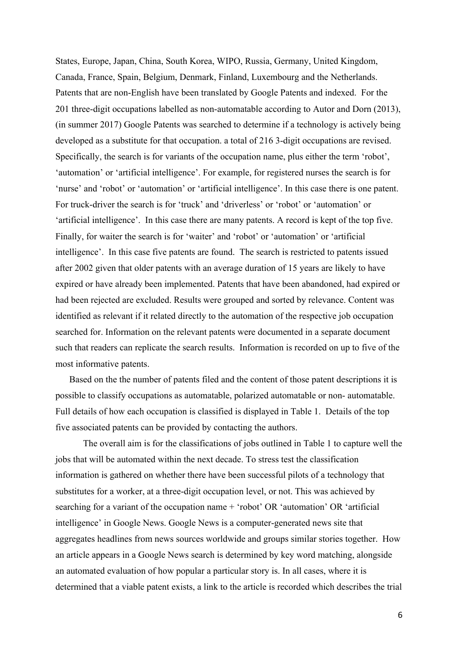States, Europe, Japan, China, South Korea, WIPO, Russia, Germany, United Kingdom, Canada, France, Spain, Belgium, Denmark, Finland, Luxembourg and the Netherlands. Patents that are non-English have been translated by Google Patents and indexed. For the 201 three-digit occupations labelled as non-automatable according to Autor and Dorn (2013), (in summer 2017) Google Patents was searched to determine if a technology is actively being developed as a substitute for that occupation. a total of 216 3-digit occupations are revised. Specifically, the search is for variants of the occupation name, plus either the term 'robot', 'automation' or 'artificial intelligence'. For example, for registered nurses the search is for 'nurse' and 'robot' or 'automation' or 'artificial intelligence'. In this case there is one patent. For truck-driver the search is for 'truck' and 'driverless' or 'robot' or 'automation' or 'artificial intelligence'. In this case there are many patents. A record is kept of the top five. Finally, for waiter the search is for 'waiter' and 'robot' or 'automation' or 'artificial intelligence'. In this case five patents are found. The search is restricted to patents issued after 2002 given that older patents with an average duration of 15 years are likely to have expired or have already been implemented. Patents that have been abandoned, had expired or had been rejected are excluded. Results were grouped and sorted by relevance. Content was identified as relevant if it related directly to the automation of the respective job occupation searched for. Information on the relevant patents were documented in a separate document such that readers can replicate the search results. Information is recorded on up to five of the most informative patents.

Based on the the number of patents filed and the content of those patent descriptions it is possible to classify occupations as automatable, polarized automatable or non- automatable. Full details of how each occupation is classified is displayed in Table 1. Details of the top five associated patents can be provided by contacting the authors.

The overall aim is for the classifications of jobs outlined in Table 1 to capture well the jobs that will be automated within the next decade. To stress test the classification information is gathered on whether there have been successful pilots of a technology that substitutes for a worker, at a three-digit occupation level, or not. This was achieved by searching for a variant of the occupation name + 'robot' OR 'automation' OR 'artificial intelligence' in Google News. Google News is a computer-generated news site that aggregates headlines from news sources worldwide and groups similar stories together. How an article appears in a Google News search is determined by key word matching, alongside an automated evaluation of how popular a particular story is. In all cases, where it is determined that a viable patent exists, a link to the article is recorded which describes the trial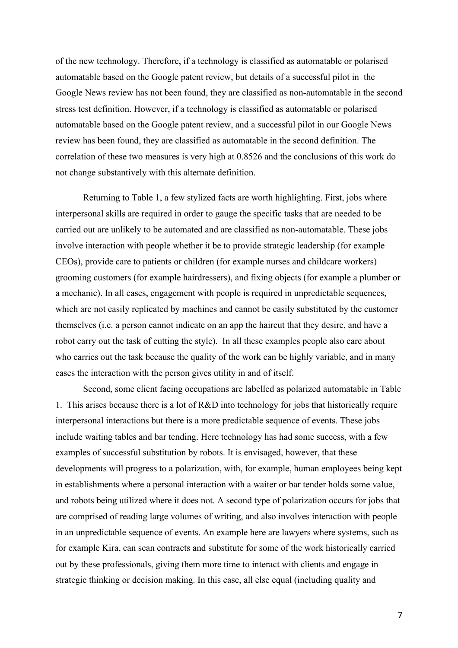of the new technology. Therefore, if a technology is classified as automatable or polarised automatable based on the Google patent review, but details of a successful pilot in the Google News review has not been found, they are classified as non-automatable in the second stress test definition. However, if a technology is classified as automatable or polarised automatable based on the Google patent review, and a successful pilot in our Google News review has been found, they are classified as automatable in the second definition. The correlation of these two measures is very high at 0.8526 and the conclusions of this work do not change substantively with this alternate definition.

Returning to Table 1, a few stylized facts are worth highlighting. First, jobs where interpersonal skills are required in order to gauge the specific tasks that are needed to be carried out are unlikely to be automated and are classified as non-automatable. These jobs involve interaction with people whether it be to provide strategic leadership (for example CEOs), provide care to patients or children (for example nurses and childcare workers) grooming customers (for example hairdressers), and fixing objects (for example a plumber or a mechanic). In all cases, engagement with people is required in unpredictable sequences, which are not easily replicated by machines and cannot be easily substituted by the customer themselves (i.e. a person cannot indicate on an app the haircut that they desire, and have a robot carry out the task of cutting the style). In all these examples people also care about who carries out the task because the quality of the work can be highly variable, and in many cases the interaction with the person gives utility in and of itself.

Second, some client facing occupations are labelled as polarized automatable in Table 1. This arises because there is a lot of R&D into technology for jobs that historically require interpersonal interactions but there is a more predictable sequence of events. These jobs include waiting tables and bar tending. Here technology has had some success, with a few examples of successful substitution by robots. It is envisaged, however, that these developments will progress to a polarization, with, for example, human employees being kept in establishments where a personal interaction with a waiter or bar tender holds some value, and robots being utilized where it does not. A second type of polarization occurs for jobs that are comprised of reading large volumes of writing, and also involves interaction with people in an unpredictable sequence of events. An example here are lawyers where systems, such as for example Kira, can scan contracts and substitute for some of the work historically carried out by these professionals, giving them more time to interact with clients and engage in strategic thinking or decision making. In this case, all else equal (including quality and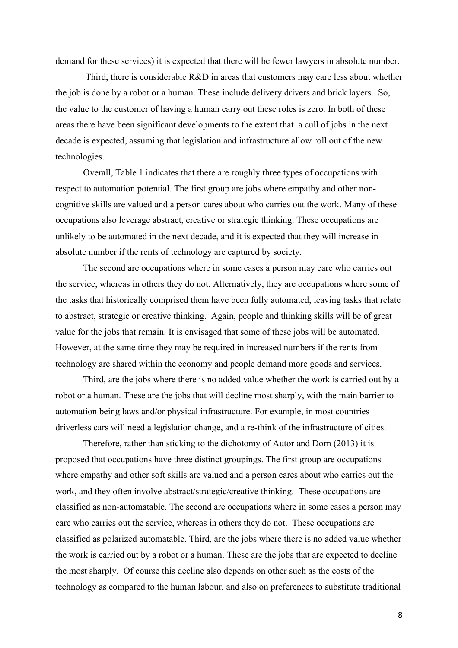demand for these services) it is expected that there will be fewer lawyers in absolute number.

Third, there is considerable R&D in areas that customers may care less about whether the job is done by a robot or a human. These include delivery drivers and brick layers. So, the value to the customer of having a human carry out these roles is zero. In both of these areas there have been significant developments to the extent that a cull of jobs in the next decade is expected, assuming that legislation and infrastructure allow roll out of the new technologies.

Overall, Table 1 indicates that there are roughly three types of occupations with respect to automation potential. The first group are jobs where empathy and other noncognitive skills are valued and a person cares about who carries out the work. Many of these occupations also leverage abstract, creative or strategic thinking. These occupations are unlikely to be automated in the next decade, and it is expected that they will increase in absolute number if the rents of technology are captured by society.

The second are occupations where in some cases a person may care who carries out the service, whereas in others they do not. Alternatively, they are occupations where some of the tasks that historically comprised them have been fully automated, leaving tasks that relate to abstract, strategic or creative thinking. Again, people and thinking skills will be of great value for the jobs that remain. It is envisaged that some of these jobs will be automated. However, at the same time they may be required in increased numbers if the rents from technology are shared within the economy and people demand more goods and services.

Third, are the jobs where there is no added value whether the work is carried out by a robot or a human. These are the jobs that will decline most sharply, with the main barrier to automation being laws and/or physical infrastructure. For example, in most countries driverless cars will need a legislation change, and a re-think of the infrastructure of cities.

Therefore, rather than sticking to the dichotomy of Autor and Dorn (2013) it is proposed that occupations have three distinct groupings. The first group are occupations where empathy and other soft skills are valued and a person cares about who carries out the work, and they often involve abstract/strategic/creative thinking. These occupations are classified as non-automatable. The second are occupations where in some cases a person may care who carries out the service, whereas in others they do not. These occupations are classified as polarized automatable. Third, are the jobs where there is no added value whether the work is carried out by a robot or a human. These are the jobs that are expected to decline the most sharply. Of course this decline also depends on other such as the costs of the technology as compared to the human labour, and also on preferences to substitute traditional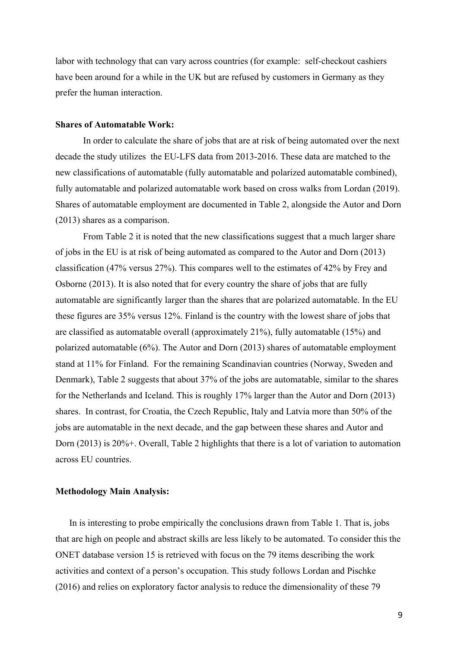labor with technology that can vary across countries (for example: self-checkout cashiers have been around for a while in the UK but are refused by customers in Germany as they prefer the human interaction.

#### **Shares of Automatable Work:**

In order to calculate the share of jobs that are at risk of being automated over the next decade the study utilizes the EU-LFS data from 2013-2016. These data are matched to the new classifications of automatable (fully automatable and polarized automatable combined), fully automatable and polarized automatable work based on cross walks from Lordan (2019). Shares of automatable employment are documented in Table 2, alongside the Autor and Dorn (2013) shares as a comparison.

From Table 2 it is noted that the new classifications suggest that a much larger share of jobs in the EU is at risk of being automated as compared to the Autor and Dorn (2013) classification (47% versus 27%). This compares well to the estimates of 42% by Frey and Osborne (2013). It is also noted that for every country the share of jobs that are fully automatable are significantly larger than the shares that are polarized automatable. In the EU these figures are 35% versus 12%. Finland is the country with the lowest share of jobs that are classified as automatable overall (approximately 21%), fully automatable (15%) and polarized automatable (6%). The Autor and Dorn (2013) shares of automatable employment stand at 11% for Finland. For the remaining Scandinavian countries (Norway, Sweden and Denmark), Table 2 suggests that about 37% of the jobs are automatable, similar to the shares for the Netherlands and Iceland. This is roughly 17% larger than the Autor and Dorn (2013) shares. In contrast, for Croatia, the Czech Republic, Italy and Latvia more than 50% of the jobs are automatable in the next decade, and the gap between these shares and Autor and Dorn (2013) is 20%+. Overall, Table 2 highlights that there is a lot of variation to automation across EU countries.

#### **Methodology Main Analysis:**

In is interesting to probe empirically the conclusions drawn from Table 1. That is, jobs that are high on people and abstract skills are less likely to be automated. To consider this the ONET database version 15 is retrieved with focus on the 79 items describing the work activities and context of a person's occupation. This study follows Lordan and Pischke (2016) and relies on exploratory factor analysis to reduce the dimensionality of these 79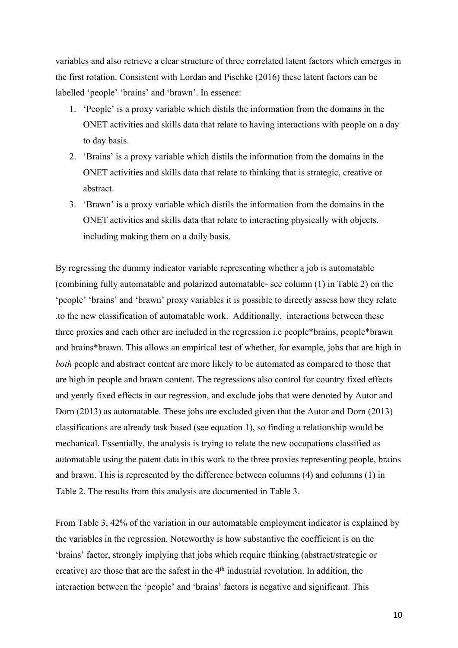variables and also retrieve a clear structure of three correlated latent factors which emerges in the first rotation. Consistent with Lordan and Pischke (2016) these latent factors can be labelled 'people' 'brains' and 'brawn'. In essence:

- 1. 'People' is a proxy variable which distils the information from the domains in the ONET activities and skills data that relate to having interactions with people on a day to day basis.
- 2. 'Brains' is a proxy variable which distils the information from the domains in the ONET activities and skills data that relate to thinking that is strategic, creative or abstract.
- 3. 'Brawn' is a proxy variable which distils the information from the domains in the ONET activities and skills data that relate to interacting physically with objects, including making them on a daily basis.

By regressing the dummy indicator variable representing whether a job is automatable (combining fully automatable and polarized automatable- see column (1) in Table 2) on the 'people' 'brains' and 'brawn' proxy variables it is possible to directly assess how they relate .to the new classification of automatable work. Additionally, interactions between these three proxies and each other are included in the regression i.e people\*brains, people\*brawn and brains\*brawn. This allows an empirical test of whether, for example, jobs that are high in *both* people and abstract content are more likely to be automated as compared to those that are high in people and brawn content. The regressions also control for country fixed effects and yearly fixed effects in our regression, and exclude jobs that were denoted by Autor and Dorn (2013) as automatable. These jobs are excluded given that the Autor and Dorn (2013) classifications are already task based (see equation 1), so finding a relationship would be mechanical. Essentially, the analysis is trying to relate the new occupations classified as automatable using the patent data in this work to the three proxies representing people, brains and brawn. This is represented by the difference between columns (4) and columns (1) in Table 2. The results from this analysis are documented in Table 3.

From Table 3, 42% of the variation in our automatable employment indicator is explained by the variables in the regression. Noteworthy is how substantive the coefficient is on the 'brains' factor, strongly implying that jobs which require thinking (abstract/strategic or creative) are those that are the safest in the 4<sup>th</sup> industrial revolution. In addition, the interaction between the 'people' and 'brains' factors is negative and significant. This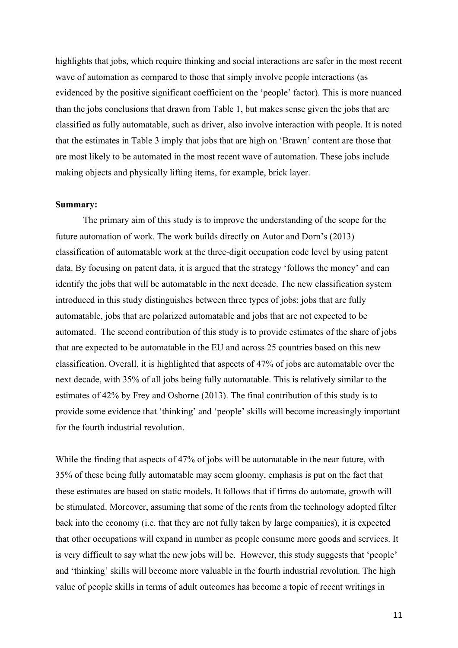highlights that jobs, which require thinking and social interactions are safer in the most recent wave of automation as compared to those that simply involve people interactions (as evidenced by the positive significant coefficient on the 'people' factor). This is more nuanced than the jobs conclusions that drawn from Table 1, but makes sense given the jobs that are classified as fully automatable, such as driver, also involve interaction with people. It is noted that the estimates in Table 3 imply that jobs that are high on 'Brawn' content are those that are most likely to be automated in the most recent wave of automation. These jobs include making objects and physically lifting items, for example, brick layer.

### **Summary:**

The primary aim of this study is to improve the understanding of the scope for the future automation of work. The work builds directly on Autor and Dorn's (2013) classification of automatable work at the three-digit occupation code level by using patent data. By focusing on patent data, it is argued that the strategy 'follows the money' and can identify the jobs that will be automatable in the next decade. The new classification system introduced in this study distinguishes between three types of jobs: jobs that are fully automatable, jobs that are polarized automatable and jobs that are not expected to be automated. The second contribution of this study is to provide estimates of the share of jobs that are expected to be automatable in the EU and across 25 countries based on this new classification. Overall, it is highlighted that aspects of 47% of jobs are automatable over the next decade, with 35% of all jobs being fully automatable. This is relatively similar to the estimates of 42% by Frey and Osborne (2013). The final contribution of this study is to provide some evidence that 'thinking' and 'people' skills will become increasingly important for the fourth industrial revolution.

While the finding that aspects of 47% of jobs will be automatable in the near future, with 35% of these being fully automatable may seem gloomy, emphasis is put on the fact that these estimates are based on static models. It follows that if firms do automate, growth will be stimulated. Moreover, assuming that some of the rents from the technology adopted filter back into the economy (i.e. that they are not fully taken by large companies), it is expected that other occupations will expand in number as people consume more goods and services. It is very difficult to say what the new jobs will be. However, this study suggests that 'people' and 'thinking' skills will become more valuable in the fourth industrial revolution. The high value of people skills in terms of adult outcomes has become a topic of recent writings in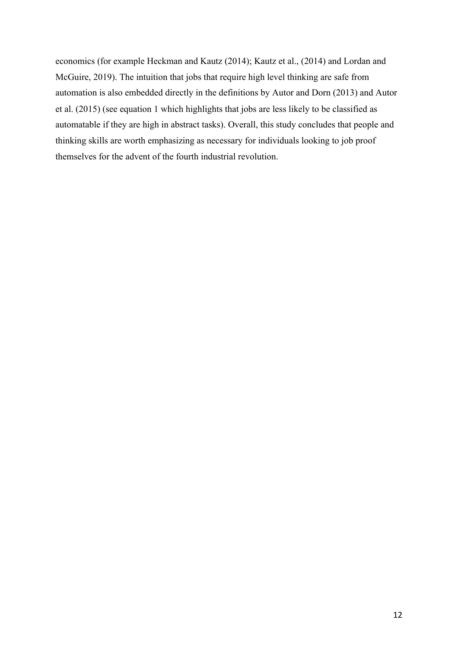economics (for example Heckman and Kautz (2014); Kautz et al., (2014) and Lordan and McGuire, 2019). The intuition that jobs that require high level thinking are safe from automation is also embedded directly in the definitions by Autor and Dorn (2013) and Autor et al. (2015) (see equation 1 which highlights that jobs are less likely to be classified as automatable if they are high in abstract tasks). Overall, this study concludes that people and thinking skills are worth emphasizing as necessary for individuals looking to job proof themselves for the advent of the fourth industrial revolution.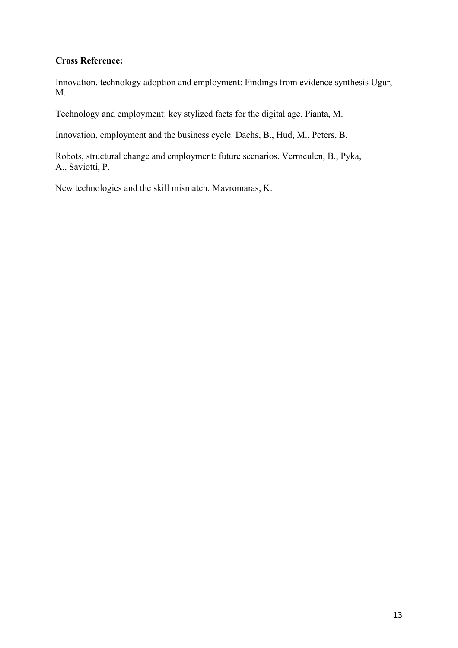### **Cross Reference:**

Innovation, technology adoption and employment: Findings from evidence synthesis Ugur, M.

Technology and employment: key stylized facts for the digital age. Pianta, M.

Innovation, employment and the business cycle. Dachs, B., Hud, M., Peters, B.

Robots, structural change and employment: future scenarios. Vermeulen, B., Pyka, A., Saviotti, P.

New technologies and the skill mismatch. Mavromaras, K.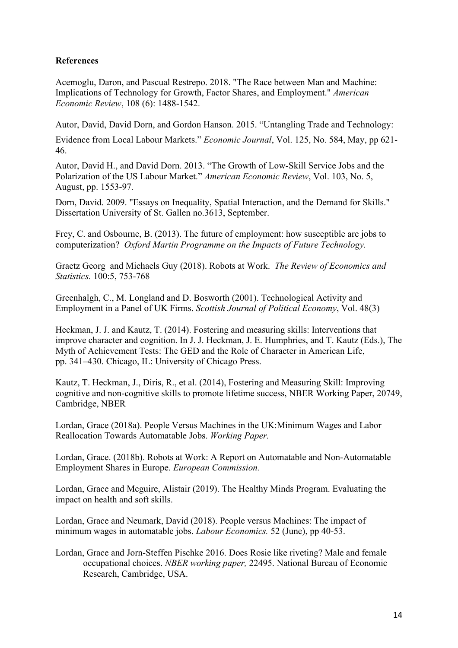### **References**

Acemoglu, Daron, and Pascual Restrepo. 2018. "The Race between Man and Machine: Implications of Technology for Growth, Factor Shares, and Employment." *American Economic Review*, 108 (6): 1488-1542.

Autor, David, David Dorn, and Gordon Hanson. 2015. "Untangling Trade and Technology:

Evidence from Local Labour Markets." *Economic Journal*, Vol. 125, No. 584, May, pp 621- 46.

Autor, David H., and David Dorn. 2013. "The Growth of Low-Skill Service Jobs and the Polarization of the US Labour Market." *American Economic Review*, Vol. 103, No. 5, August, pp. 1553-97.

Dorn, David. 2009. "Essays on Inequality, Spatial Interaction, and the Demand for Skills." Dissertation University of St. Gallen no.3613, September.

Frey, C. and Osbourne, B. (2013). The future of employment: how susceptible are jobs to computerization? *Oxford Martin Programme on the Impacts of Future Technology.* 

Graetz Georg and Michaels Guy (2018). Robots at Work. *The Review of Economics and Statistics.* 100:5, 753-768

Greenhalgh, C., M. Longland and D. Bosworth (2001). Technological Activity and Employment in a Panel of UK Firms. *Scottish Journal of Political Economy*, Vol. 48(3)

Heckman, J. J. and Kautz, T. (2014). Fostering and measuring skills: Interventions that improve character and cognition. In J. J. Heckman, J. E. Humphries, and T. Kautz (Eds.), The Myth of Achievement Tests: The GED and the Role of Character in American Life, pp. 341–430. Chicago, IL: University of Chicago Press.

Kautz, T. Heckman, J., Diris, R., et al. (2014), Fostering and Measuring Skill: Improving cognitive and non-cognitive skills to promote lifetime success, NBER Working Paper, 20749, Cambridge, NBER

Lordan, Grace (2018a). People Versus Machines in the UK:Minimum Wages and Labor Reallocation Towards Automatable Jobs. *Working Paper.* 

Lordan, Grace. (2018b). Robots at Work: A Report on Automatable and Non-Automatable Employment Shares in Europe. *European Commission.* 

Lordan, Grace and Mcguire, Alistair (2019). The Healthy Minds Program. Evaluating the impact on health and soft skills.

Lordan, Grace and Neumark, David (2018). People versus Machines: The impact of minimum wages in automatable jobs. *Labour Economics.* 52 (June), pp 40-53.

Lordan, Grace and Jorn-Steffen Pischke 2016. Does Rosie like riveting? Male and female occupational choices. *NBER working paper,* 22495. National Bureau of Economic Research, Cambridge, USA.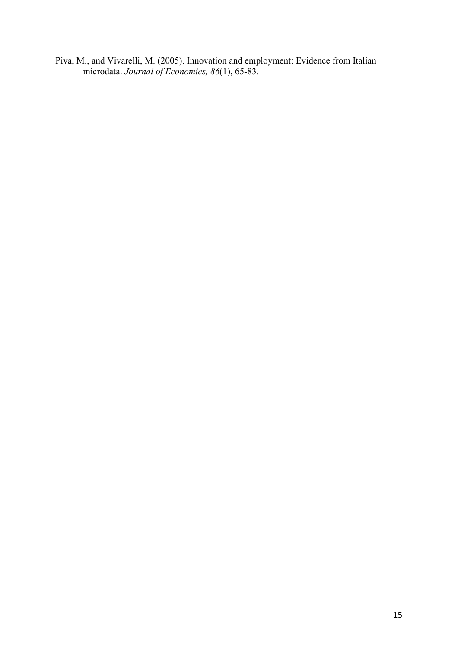Piva, M., and Vivarelli, M. (2005). Innovation and employment: Evidence from Italian microdata. *Journal of Economics, 86*(1), 65-83.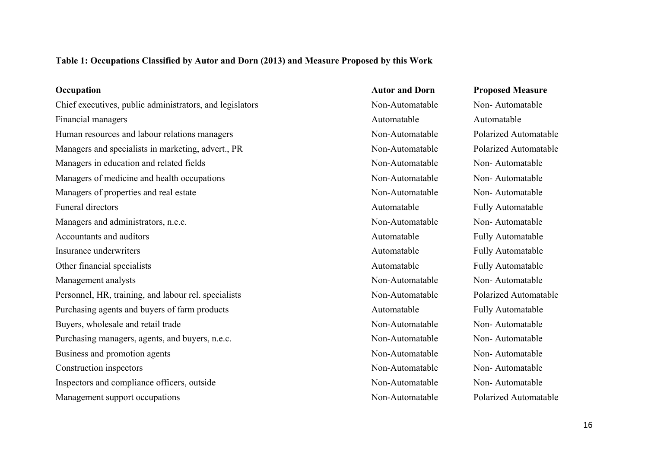## **Table 1: Occupations Classified by Autor and Dorn (2013) and Measure Proposed by this Work**

| Occupation                                               | <b>Autor and Dorn</b> | <b>Proposed Measure</b>      |
|----------------------------------------------------------|-----------------------|------------------------------|
| Chief executives, public administrators, and legislators | Non-Automatable       | Non-Automatable              |
| Financial managers                                       | Automatable           | Automatable                  |
| Human resources and labour relations managers            | Non-Automatable       | <b>Polarized Automatable</b> |
| Managers and specialists in marketing, advert., PR       | Non-Automatable       | <b>Polarized Automatable</b> |
| Managers in education and related fields                 | Non-Automatable       | Non-Automatable              |
| Managers of medicine and health occupations              | Non-Automatable       | Non-Automatable              |
| Managers of properties and real estate                   | Non-Automatable       | Non-Automatable              |
| <b>Funeral directors</b>                                 | Automatable           | <b>Fully Automatable</b>     |
| Managers and administrators, n.e.c.                      | Non-Automatable       | Non-Automatable              |
| Accountants and auditors                                 | Automatable           | <b>Fully Automatable</b>     |
| Insurance underwriters                                   | Automatable           | <b>Fully Automatable</b>     |
| Other financial specialists                              | Automatable           | Fully Automatable            |
| Management analysts                                      | Non-Automatable       | Non-Automatable              |
| Personnel, HR, training, and labour rel. specialists     | Non-Automatable       | Polarized Automatable        |
| Purchasing agents and buyers of farm products            | Automatable           | Fully Automatable            |
| Buyers, wholesale and retail trade                       | Non-Automatable       | Non-Automatable              |
| Purchasing managers, agents, and buyers, n.e.c.          | Non-Automatable       | Non-Automatable              |
| Business and promotion agents                            | Non-Automatable       | Non-Automatable              |
| Construction inspectors                                  | Non-Automatable       | Non-Automatable              |
| Inspectors and compliance officers, outside              | Non-Automatable       | Non-Automatable              |
| Management support occupations                           | Non-Automatable       | Polarized Automatable        |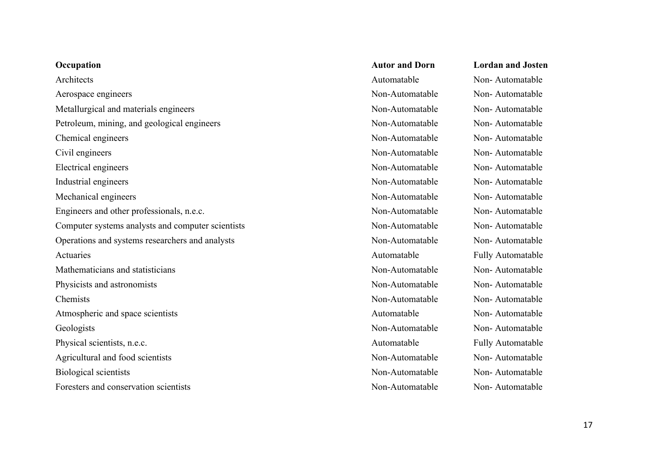| Occupation                                        | <b>Autor and Dorn</b> | <b>Lordan and Josten</b> |
|---------------------------------------------------|-----------------------|--------------------------|
| Architects                                        | Automatable           | Non-Automatable          |
| Aerospace engineers                               | Non-Automatable       | Non-Automatable          |
| Metallurgical and materials engineers             | Non-Automatable       | Non-Automatable          |
| Petroleum, mining, and geological engineers       | Non-Automatable       | Non-Automatable          |
| Chemical engineers                                | Non-Automatable       | Non-Automatable          |
| Civil engineers                                   | Non-Automatable       | Non-Automatable          |
| <b>Electrical engineers</b>                       | Non-Automatable       | Non-Automatable          |
| Industrial engineers                              | Non-Automatable       | Non-Automatable          |
| Mechanical engineers                              | Non-Automatable       | Non-Automatable          |
| Engineers and other professionals, n.e.c.         | Non-Automatable       | Non-Automatable          |
| Computer systems analysts and computer scientists | Non-Automatable       | Non-Automatable          |
| Operations and systems researchers and analysts   | Non-Automatable       | Non-Automatable          |
| Actuaries                                         | Automatable           | <b>Fully Automatable</b> |
| Mathematicians and statisticians                  | Non-Automatable       | Non-Automatable          |
| Physicists and astronomists                       | Non-Automatable       | Non-Automatable          |
| Chemists                                          | Non-Automatable       | Non-Automatable          |
| Atmospheric and space scientists                  | Automatable           | Non-Automatable          |
| Geologists                                        | Non-Automatable       | Non-Automatable          |
| Physical scientists, n.e.c.                       | Automatable           | <b>Fully Automatable</b> |
| Agricultural and food scientists                  | Non-Automatable       | Non-Automatable          |
| <b>Biological scientists</b>                      | Non-Automatable       | Non-Automatable          |
| Foresters and conservation scientists             | Non-Automatable       | Non-Automatable          |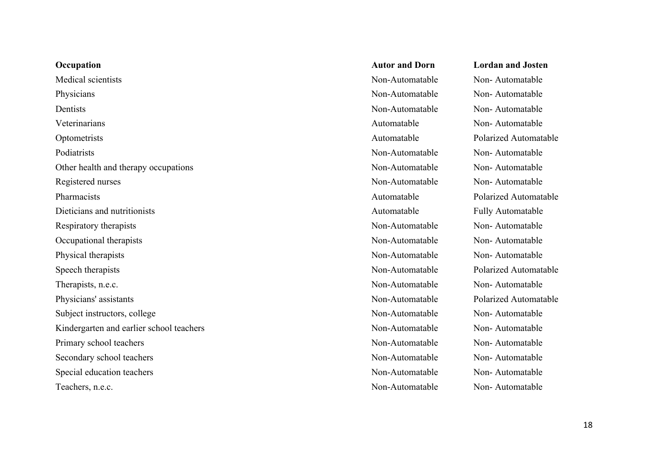| Occupation                               |
|------------------------------------------|
| Medical scientists                       |
| Physicians                               |
| Dentists                                 |
| Veterinarians                            |
| Optometrists                             |
| Podiatrists                              |
| Other health and therapy occupations     |
| Registered nurses                        |
| Pharmacists                              |
| Dieticians and nutritionists             |
| Respiratory therapists                   |
| Occupational therapists                  |
| Physical therapists                      |
| Speech therapists                        |
| Therapists, n.e.c.                       |
| Physicians' assistants                   |
| Subject instructors, college             |
| Kindergarten and earlier school teachers |
| Primary school teachers                  |
| Secondary school teachers                |
| Special education teachers               |
| Teachers, n.e.c.                         |

## **Occupation Autor and Dorn Lordan and Josten** Non-Automatable Non-Automatable Physicians Non-Automatable Non- Automatable Non-Automatable Non-Automatable Automatable Non-Automatable Automatable Polarized Automatable Non-Automatable Non-Automatable Non-Automatable Non-Automatable Non-Automatable Non-Automatable Automatable Polarized Automatable Automatable Fully Automatable Non-Automatable Non-Automatable Non-Automatable Non-Automatable Non-Automatable Non-Automatable Non-Automatable Polarized Automatable Non-Automatable Non-Automatable Non-Automatable Polarized Automatable Non-Automatable Non-Automatable Non-Automatable Non-Automatable Non-Automatable Non-Automatable Non-Automatable Non-Automatable Non-Automatable Non-Automatable Non-Automatable Non-Automatable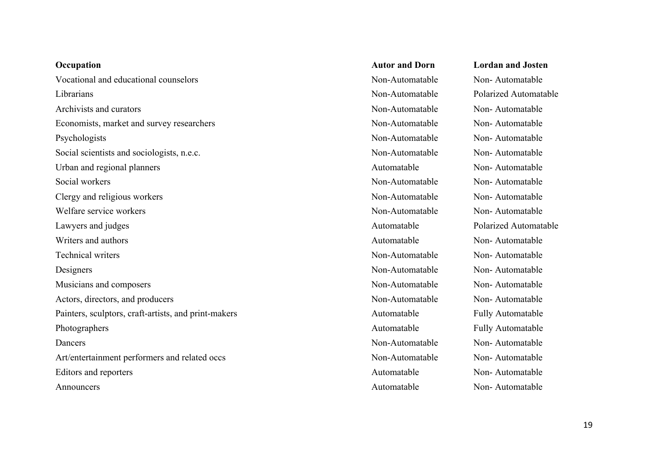| Occupation                                           | <b>Autor and Dorn</b> | <b>Lordan and Josten</b> |
|------------------------------------------------------|-----------------------|--------------------------|
| Vocational and educational counselors                | Non-Automatable       | Non-Automatable          |
| Librarians                                           | Non-Automatable       | Polarized Automatal      |
| Archivists and curators                              | Non-Automatable       | Non-Automatable          |
| Economists, market and survey researchers            | Non-Automatable       | Non-Automatable          |
| Psychologists                                        | Non-Automatable       | Non-Automatable          |
| Social scientists and sociologists, n.e.c.           | Non-Automatable       | Non-Automatable          |
| Urban and regional planners                          | Automatable           | Non-Automatable          |
| Social workers                                       | Non-Automatable       | Non-Automatable          |
| Clergy and religious workers                         | Non-Automatable       | Non-Automatable          |
| Welfare service workers                              | Non-Automatable       | Non-Automatable          |
| Lawyers and judges                                   | Automatable           | Polarized Automatal      |
| Writers and authors                                  | Automatable           | Non-Automatable          |
| <b>Technical writers</b>                             | Non-Automatable       | Non-Automatable          |
| Designers                                            | Non-Automatable       | Non-Automatable          |
| Musicians and composers                              | Non-Automatable       | Non-Automatable          |
| Actors, directors, and producers                     | Non-Automatable       | Non-Automatable          |
| Painters, sculptors, craft-artists, and print-makers | Automatable           | <b>Fully Automatable</b> |
| Photographers                                        | Automatable           | <b>Fully Automatable</b> |
| Dancers                                              | Non-Automatable       | Non-Automatable          |
| Art/entertainment performers and related occs        | Non-Automatable       | Non-Automatable          |
| Editors and reporters                                | Automatable           | Non-Automatable          |
| Announcers                                           | Automatable           | Non-Automatable          |

| <b>Autor and Dorn</b> | <b>Lordan and Josten</b> |
|-----------------------|--------------------------|
| Non-Automatable       | Non-Automatable          |
| Non-Automatable       | Polarized Automatable    |
| Non-Automatable       | Non-Automatable          |
| Non-Automatable       | Non-Automatable          |
| Non-Automatable       | Non-Automatable          |
| Non-Automatable       | Non-Automatable          |
| Automatable           | Non-Automatable          |
| Non-Automatable       | Non-Automatable          |
| Non-Automatable       | Non-Automatable          |
| Non-Automatable       | Non-Automatable          |
| Automatable           | Polarized Automatable    |
| Automatable           | Non-Automatable          |
| Non-Automatable       | Non-Automatable          |
| Non-Automatable       | Non-Automatable          |
| Non-Automatable       | Non-Automatable          |
| Non-Automatable       | Non-Automatable          |
| Automatable           | <b>Fully Automatable</b> |
| Automatable           | <b>Fully Automatable</b> |
| Non-Automatable       | Non-Automatable          |
| Non-Automatable       | Non-Automatable          |
| Automatable           | Non-Automatable          |
| Automatable           | Non-Automatable          |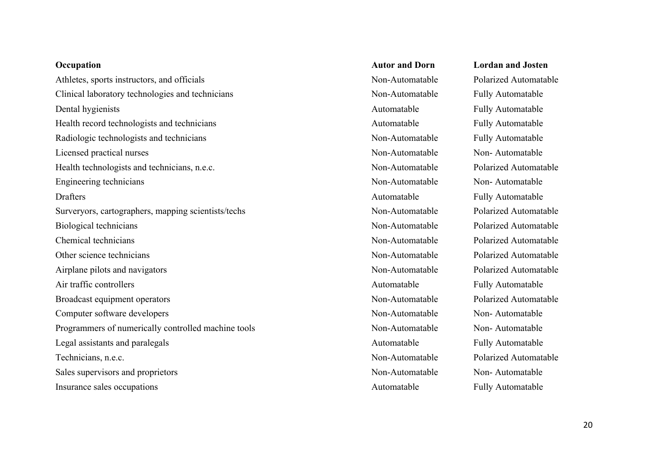## **Occupation Autor and Dorn Lordan and Josten** Athletes, sports instructors, and officials Non-Automatable Polarized Automatable Polarized Automatable Clinical laboratory technologies and technicians Non-Automatable Fully Automatable Dental hygienists Automatable Fully Automatable Health record technologists and technicians and technicians Automatable Fully Automatable Radiologic technologists and technicians Non-Automatable Fully Automatable Licensed practical nurses Non-Automatable Non-Automatable Non-Automatable Health technologists and technicians, n.e.c. Non-Automatable Polarized Automatable Engineering technicians Non-Automatable Non-Automatable Non-Automatable Drafters Fully Automatable Fully Automatable Surveryors, cartographers, mapping scientists/techs Non-Automatable Polarized Automatable Biological technicians Non-Automatable Polarized Automatable Chemical technicians Non-Automatable Polarized Automatable Other science technicians Non-Automatable Polarized Automatable Airplane pilots and navigators and navigators Non-Automatable Polarized Automatable Air traffic controllers **Automatable** Fully Automatable Fully Automatable Broadcast equipment operators Non-Automatable Polarized Automatable Computer software developers Non-Automatable Non-Automatable Non-Automatable Programmers of numerically controlled machine tools Non-Automatable Non-Automatable Non-Automatable Legal assistants and paralegals and the state of the Automatable Automatable Fully Automatable Technicians, n.e.c. Non-Automatable Polarized Automatable Sales supervisors and proprietors  $\blacksquare$  Non-Automatable Non-Automatable Non-Automatable Insurance sales occupations and a series of the Automatable Automatable Fully Automatable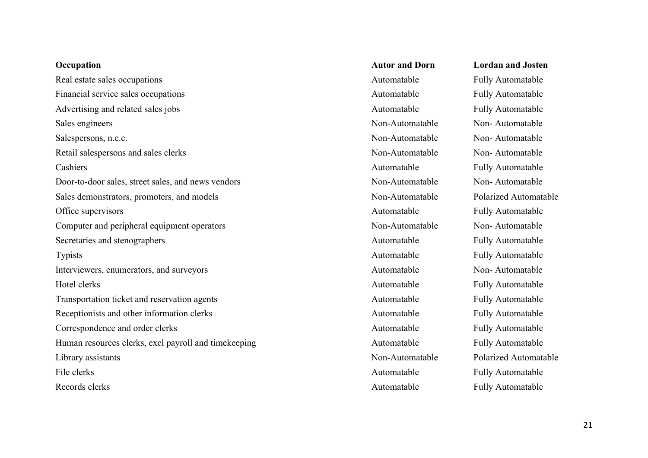| Occupation                                           | <b>Autor and Dorn</b> | <b>Lordan and Josten</b> |
|------------------------------------------------------|-----------------------|--------------------------|
| Real estate sales occupations                        | Automatable           | <b>Fully Automatable</b> |
| Financial service sales occupations                  | Automatable           | Fully Automatable        |
| Advertising and related sales jobs                   | Automatable           | Fully Automatable        |
| Sales engineers                                      | Non-Automatable       | Non-Automatable          |
| Salespersons, n.e.c.                                 | Non-Automatable       | Non-Automatable          |
| Retail salespersons and sales clerks                 | Non-Automatable       | Non-Automatable          |
| Cashiers                                             | Automatable           | Fully Automatable        |
| Door-to-door sales, street sales, and news vendors   | Non-Automatable       | Non-Automatable          |
| Sales demonstrators, promoters, and models           | Non-Automatable       | Polarized Automatable    |
| Office supervisors                                   | Automatable           | <b>Fully Automatable</b> |
| Computer and peripheral equipment operators          | Non-Automatable       | Non-Automatable          |
| Secretaries and stenographers                        | Automatable           | Fully Automatable        |
| <b>Typists</b>                                       | Automatable           | <b>Fully Automatable</b> |
| Interviewers, enumerators, and surveyors             | Automatable           | Non-Automatable          |
| Hotel clerks                                         | Automatable           | Fully Automatable        |
| Transportation ticket and reservation agents         | Automatable           | Fully Automatable        |
| Receptionists and other information clerks           | Automatable           | Fully Automatable        |
| Correspondence and order clerks                      | Automatable           | Fully Automatable        |
| Human resources clerks, excl payroll and timekeeping | Automatable           | <b>Fully Automatable</b> |
| Library assistants                                   | Non-Automatable       | Polarized Automatable    |
| File clerks                                          | Automatable           | <b>Fully Automatable</b> |
| Records clerks                                       | Automatable           | <b>Fully Automatable</b> |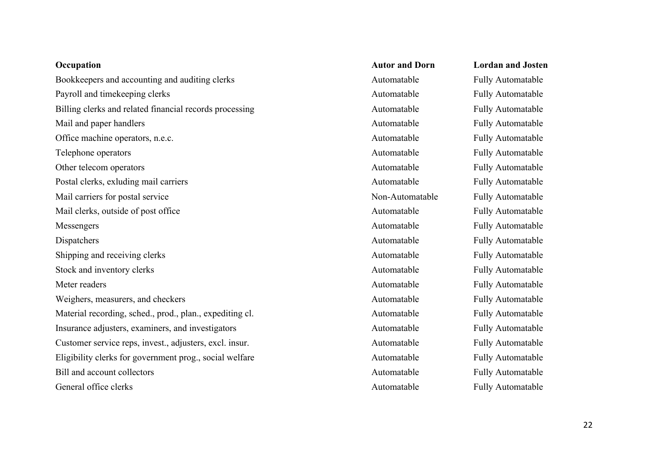| Occupation                                               | <b>Autor and Dorn</b> | <b>Lordan and Josten</b> |
|----------------------------------------------------------|-----------------------|--------------------------|
| Bookkeepers and accounting and auditing clerks           | Automatable           | Fully Automatable        |
| Payroll and timekeeping clerks                           | Automatable           | Fully Automatable        |
| Billing clerks and related financial records processing  | Automatable           | Fully Automatable        |
| Mail and paper handlers                                  | Automatable           | Fully Automatable        |
| Office machine operators, n.e.c.                         | Automatable           | Fully Automatable        |
| Telephone operators                                      | Automatable           | Fully Automatable        |
| Other telecom operators                                  | Automatable           | <b>Fully Automatable</b> |
| Postal clerks, exluding mail carriers                    | Automatable           | <b>Fully Automatable</b> |
| Mail carriers for postal service                         | Non-Automatable       | Fully Automatable        |
| Mail clerks, outside of post office                      | Automatable           | Fully Automatable        |
| Messengers                                               | Automatable           | Fully Automatable        |
| Dispatchers                                              | Automatable           | Fully Automatable        |
| Shipping and receiving clerks                            | Automatable           | <b>Fully Automatable</b> |
| Stock and inventory clerks                               | Automatable           | Fully Automatable        |
| Meter readers                                            | Automatable           | Fully Automatable        |
| Weighers, measurers, and checkers                        | Automatable           | Fully Automatable        |
| Material recording, sched., prod., plan., expediting cl. | Automatable           | Fully Automatable        |
| Insurance adjusters, examiners, and investigators        | Automatable           | Fully Automatable        |
| Customer service reps, invest., adjusters, excl. insur.  | Automatable           | Fully Automatable        |
| Eligibility clerks for government prog., social welfare  | Automatable           | Fully Automatable        |
| Bill and account collectors                              | Automatable           | <b>Fully Automatable</b> |
| General office clerks                                    | Automatable           | <b>Fully Automatable</b> |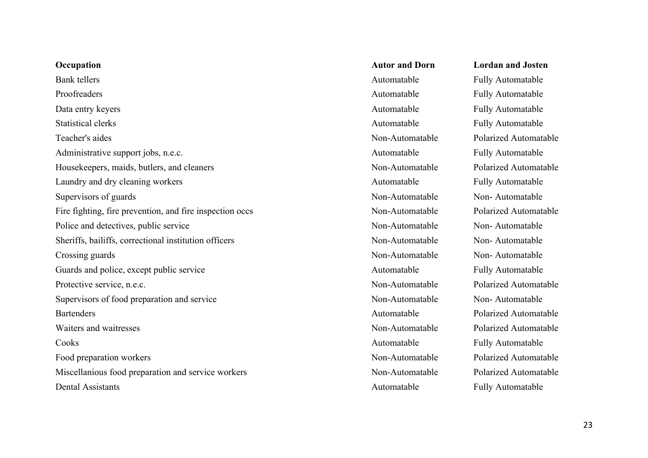| Occupation                                               | <b>Autor and Dorn</b> | <b>Lordan and Josten</b>   |
|----------------------------------------------------------|-----------------------|----------------------------|
| <b>Bank</b> tellers                                      | Automatable           | Fully Automatable          |
| Proofreaders                                             | Automatable           | <b>Fully Automatable</b>   |
| Data entry keyers                                        | Automatable           | Fully Automatable          |
| <b>Statistical clerks</b>                                | Automatable           | <b>Fully Automatable</b>   |
| Teacher's aides                                          | Non-Automatable       | <b>Polarized Automatal</b> |
| Administrative support jobs, n.e.c.                      | Automatable           | Fully Automatable          |
| Housekeepers, maids, butlers, and cleaners               | Non-Automatable       | <b>Polarized Automatal</b> |
| Laundry and dry cleaning workers                         | Automatable           | <b>Fully Automatable</b>   |
| Supervisors of guards                                    | Non-Automatable       | Non-Automatable            |
| Fire fighting, fire prevention, and fire inspection occs | Non-Automatable       | <b>Polarized Automatal</b> |
| Police and detectives, public service                    | Non-Automatable       | Non-Automatable            |
| Sheriffs, bailiffs, correctional institution officers    | Non-Automatable       | Non-Automatable            |
| Crossing guards                                          | Non-Automatable       | Non-Automatable            |
| Guards and police, except public service                 | Automatable           | Fully Automatable          |
| Protective service, n.e.c.                               | Non-Automatable       | <b>Polarized Automatal</b> |
| Supervisors of food preparation and service              | Non-Automatable       | Non-Automatable            |
| <b>Bartenders</b>                                        | Automatable           | <b>Polarized Automatal</b> |
| Waiters and waitresses                                   | Non-Automatable       | <b>Polarized Automatal</b> |
| Cooks                                                    | Automatable           | <b>Fully Automatable</b>   |
| Food preparation workers                                 | Non-Automatable       | <b>Polarized Automatal</b> |
| Miscellanious food preparation and service workers       | Non-Automatable       | Polarized Automatal        |
| <b>Dental Assistants</b>                                 | Automatable           | <b>Fully Automatable</b>   |

|    | <b>Autor and Dorn</b> | <b>Lordan and Josten</b> |
|----|-----------------------|--------------------------|
|    | Automatable           | <b>Fully Automatable</b> |
|    | Automatable           | <b>Fully Automatable</b> |
|    | Automatable           | <b>Fully Automatable</b> |
|    | Automatable           | <b>Fully Automatable</b> |
|    | Non-Automatable       | Polarized Automatable    |
|    | Automatable           | <b>Fully Automatable</b> |
|    | Non-Automatable       | Polarized Automatable    |
|    | Automatable           | <b>Fully Automatable</b> |
|    | Non-Automatable       | Non-Automatable          |
| `S | Non-Automatable       | Polarized Automatable    |
|    | Non-Automatable       | Non-Automatable          |
|    | Non-Automatable       | Non-Automatable          |
|    | Non-Automatable       | Non-Automatable          |
|    | Automatable           | <b>Fully Automatable</b> |
|    | Non-Automatable       | Polarized Automatable    |
|    | Non-Automatable       | Non-Automatable          |
|    | Automatable           | Polarized Automatable    |
|    | Non-Automatable       | Polarized Automatable    |
|    | Automatable           | <b>Fully Automatable</b> |
|    | Non-Automatable       | Polarized Automatable    |
|    | Non-Automatable       | Polarized Automatable    |
|    | Automatable           | <b>Fully Automatable</b> |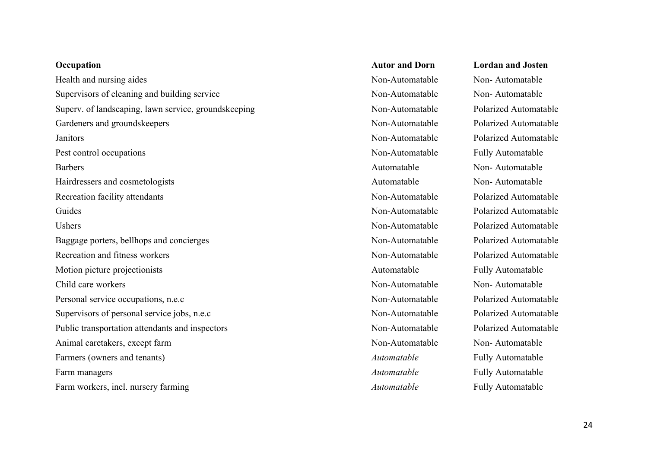| Occupation                                           |
|------------------------------------------------------|
| Health and nursing aides                             |
| Supervisors of cleaning and building service         |
| Superv. of landscaping, lawn service, groundskeeping |
| Gardeners and groundskeepers                         |
| Janitors                                             |
| Pest control occupations                             |
| <b>Barbers</b>                                       |
| Hairdressers and cosmetologists                      |
| Recreation facility attendants                       |
| Guides                                               |
| Ushers                                               |
| Baggage porters, bellhops and concierges             |
| Recreation and fitness workers                       |
| Motion picture projectionists                        |
| Child care workers                                   |
| Personal service occupations, n.e.c                  |
| Supervisors of personal service jobs, n.e.c          |
| Public transportation attendants and inspectors      |
| Animal caretakers, except farm                       |
| Farmers (owners and tenants)                         |
| Farm managers                                        |
| Farm workers, incl. nursery farming                  |

**Occupation Autor and Dorn Lordan and Josten** Non-Automatable Non-Automatable Non-Automatable Non-Automatable Non-Automatable Fully Automatable Automatable Non- Automatable Automatable Non- Automatable Automatable Fully Automatable Non-Automatable Non-Automatable Non-Automatable Non-Automatable Automatable **Fully Automatable** *Automatable* Fully Automatable g and the *Automatable* Fully Automatable

g. Superv. of landscaping, lawn service, grounds and polarized Automatable Rolarized Automatable Non-Automatable Polarized Automatable Janitors Non-Automatable Polarized Automatable Non-Automatable Polarized Automatable Non-Automatable Polarized Automatable Non-Automatable Polarized Automatable Non-Automatable Polarized Automatable Non-Automatable Polarized Automatable Non-Automatable Polarized Automatable Non-Automatable Polarized Automatable Non-Automatable Polarized Automatable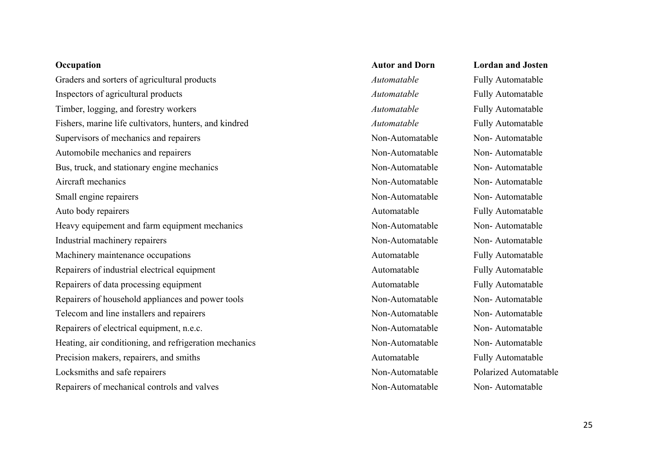| Occupation                                             | <b>Autor and Dorn</b> | <b>Lordan and Josten</b> |
|--------------------------------------------------------|-----------------------|--------------------------|
| Graders and sorters of agricultural products           | Automatable           | Fully Automatable        |
| Inspectors of agricultural products                    | Automatable           | Fully Automatable        |
| Timber, logging, and forestry workers                  | Automatable           | Fully Automatable        |
| Fishers, marine life cultivators, hunters, and kindred | Automatable           | <b>Fully Automatable</b> |
| Supervisors of mechanics and repairers                 | Non-Automatable       | Non-Automatable          |
| Automobile mechanics and repairers                     | Non-Automatable       | Non-Automatable          |
| Bus, truck, and stationary engine mechanics            | Non-Automatable       | Non-Automatable          |
| Aircraft mechanics                                     | Non-Automatable       | Non-Automatable          |
| Small engine repairers                                 | Non-Automatable       | Non-Automatable          |
| Auto body repairers                                    | Automatable           | Fully Automatable        |
| Heavy equipement and farm equipment mechanics          | Non-Automatable       | Non-Automatable          |
| Industrial machinery repairers                         | Non-Automatable       | Non-Automatable          |
| Machinery maintenance occupations                      | Automatable           | Fully Automatable        |
| Repairers of industrial electrical equipment           | Automatable           | Fully Automatable        |
| Repairers of data processing equipment                 | Automatable           | Fully Automatable        |
| Repairers of household appliances and power tools      | Non-Automatable       | Non-Automatable          |
| Telecom and line installers and repairers              | Non-Automatable       | Non-Automatable          |
| Repairers of electrical equipment, n.e.c.              | Non-Automatable       | Non-Automatable          |
| Heating, air conditioning, and refrigeration mechanics | Non-Automatable       | Non-Automatable          |
| Precision makers, repairers, and smiths                | Automatable           | Fully Automatable        |
| Locksmiths and safe repairers                          | Non-Automatable       | Polarized Automatable    |
| Repairers of mechanical controls and valves            | Non-Automatable       | Non-Automatable          |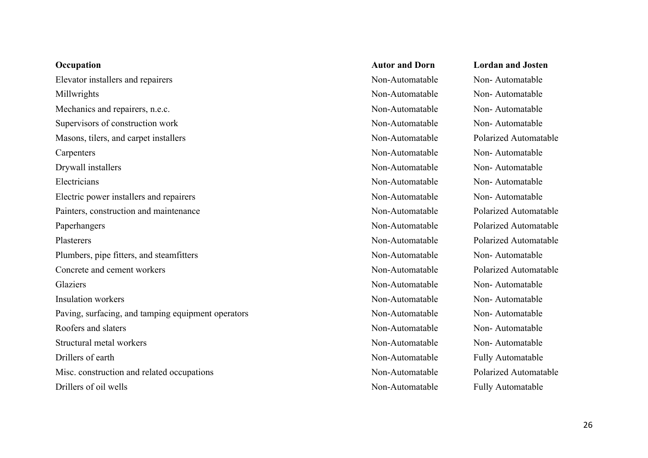| Occupation                                         | <b>Autor and L</b> |
|----------------------------------------------------|--------------------|
| Elevator installers and repairers                  | Non-Automa         |
| Millwrights                                        | Non-Automa         |
| Mechanics and repairers, n.e.c.                    | Non-Automa         |
| Supervisors of construction work                   | Non-Automa         |
| Masons, tilers, and carpet installers              | Non-Automa         |
| Carpenters                                         | Non-Automa         |
| Drywall installers                                 | Non-Automa         |
| Electricians                                       | Non-Automa         |
| Electric power installers and repairers            | Non-Automa         |
| Painters, construction and maintenance             | Non-Automa         |
| Paperhangers                                       | Non-Automa         |
| Plasterers                                         | Non-Automa         |
| Plumbers, pipe fitters, and steamfitters           | Non-Automa         |
| Concrete and cement workers                        | Non-Automa         |
| Glaziers                                           | Non-Automa         |
| <b>Insulation workers</b>                          | Non-Automa         |
| Paving, surfacing, and tamping equipment operators | Non-Automa         |
| Roofers and slaters                                | Non-Automa         |
| Structural metal workers                           | Non-Automa         |
| Drillers of earth                                  | Non-Automa         |
| Misc. construction and related occupations         | Non-Automa         |
| Drillers of oil wells                              | Non-Automa         |

**Occupation Autor and Dorn Lordan and Josten**

atable Non-Automatable atable Non-Automatable atable Non-Automatable atable Non-Automatable atable Polarized Automatable atable Non-Automatable atable Non-Automatable atable Non-Automatable atable Non-Automatable atable **Polarized Automatable** atable Polarized Automatable atable **Polarized Automatable** atable Non-Automatable atable **Polarized Automatable** atable Non-Automatable atable Non-Automatable atable Non-Automatable atable Non-Automatable atable Non-Automatable atable Fully Automatable atable **Polarized Automatable** atable Fully Automatable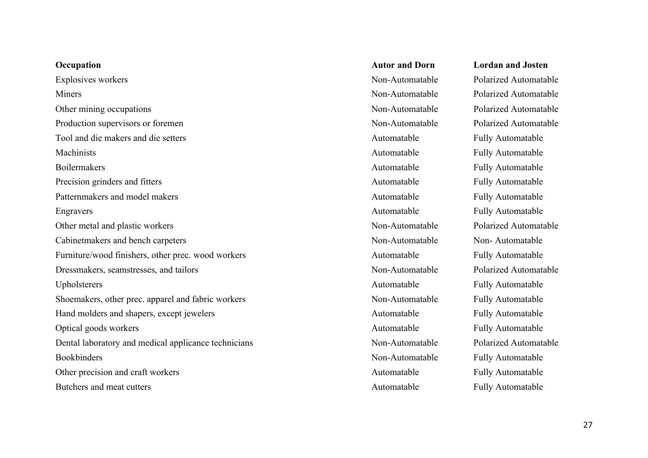| Occupation                                           | <b>Autor and Dorn</b> | <b>Lordan and Josten</b>   |
|------------------------------------------------------|-----------------------|----------------------------|
| Explosives workers                                   | Non-Automatable       | Polarized Automatal        |
| Miners                                               | Non-Automatable       | Polarized Automatal        |
| Other mining occupations                             | Non-Automatable       | Polarized Automatal        |
| Production supervisors or foremen                    | Non-Automatable       | <b>Polarized Automatal</b> |
| Tool and die makers and die setters                  | Automatable           | <b>Fully Automatable</b>   |
| Machinists                                           | Automatable           | Fully Automatable          |
| <b>Boilermakers</b>                                  | Automatable           | <b>Fully Automatable</b>   |
| Precision grinders and fitters                       | Automatable           | <b>Fully Automatable</b>   |
| Patternmakers and model makers                       | Automatable           | Fully Automatable          |
| Engravers                                            | Automatable           | <b>Fully Automatable</b>   |
| Other metal and plastic workers                      | Non-Automatable       | <b>Polarized Automatal</b> |
| Cabinetmakers and bench carpeters                    | Non-Automatable       | Non-Automatable            |
| Furniture/wood finishers, other prec. wood workers   | Automatable           | Fully Automatable          |
| Dressmakers, seamstresses, and tailors               | Non-Automatable       | <b>Polarized Automatal</b> |
| Upholsterers                                         | Automatable           | Fully Automatable          |
| Shoemakers, other prec. apparel and fabric workers   | Non-Automatable       | <b>Fully Automatable</b>   |
| Hand molders and shapers, except jewelers            | Automatable           | Fully Automatable          |
| Optical goods workers                                | Automatable           | Fully Automatable          |
| Dental laboratory and medical applicance technicians | Non-Automatable       | <b>Polarized Automatal</b> |
| <b>Bookbinders</b>                                   | Non-Automatable       | Fully Automatable          |
| Other precision and craft workers                    | Automatable           | <b>Fully Automatable</b>   |
| Butchers and meat cutters                            | Automatable           | <b>Fully Automatable</b>   |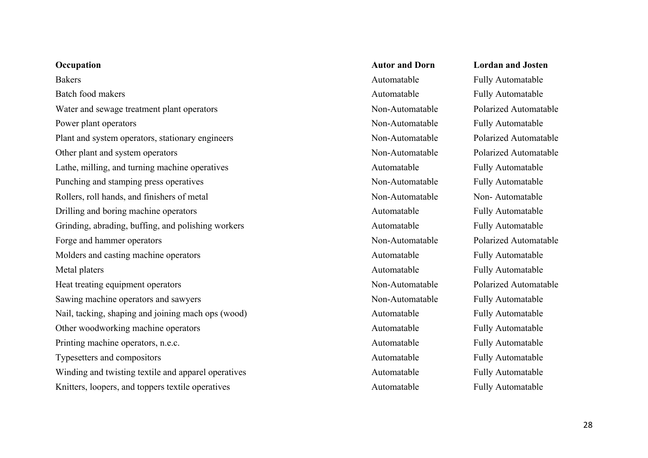| Occupation                                          |
|-----------------------------------------------------|
| <b>Bakers</b>                                       |
| Batch food makers                                   |
| Water and sewage treatment plant operators          |
| Power plant operators                               |
| Plant and system operators, stationary engineers    |
| Other plant and system operators                    |
| Lathe, milling, and turning machine operatives      |
| Punching and stamping press operatives              |
| Rollers, roll hands, and finishers of metal         |
| Drilling and boring machine operators               |
| Grinding, abrading, buffing, and polishing workers  |
| Forge and hammer operators                          |
| Molders and casting machine operators               |
| Metal platers                                       |
| Heat treating equipment operators                   |
| Sawing machine operators and sawyers                |
| Nail, tacking, shaping and joining mach ops (wood)  |
| Other woodworking machine operators                 |
| Printing machine operators, n.e.c.                  |
| Typesetters and compositors                         |
| Winding and twisting textile and apparel operatives |
| Knitters, loopers, and toppers textile operatives   |

## **Occupation Autor and Dorn Lordan and Josten** Automatable Fully Automatable Automatable Fully Automatable Non-Automatable Polarized Automatable Non-Automatable Fully Automatable Automatable Fully Automatable Non-Automatable Fully Automatable Non-Automatable Non-Automatable Automatable Fully Automatable Automatable Fully Automatable Non-Automatable Polarized Automatable Automatable Fully Automatable Automatable Fully Automatable Non-Automatable Fully Automatable Automatable Fully Automatable Automatable Fully Automatable Automatable Fully Automatable Automatable Fully Automatable Automatable **Automatable** Fully Automatable Automatable Fully Automatable

Non-Automatable Polarized Automatable Non-Automatable Polarized Automatable Non-Automatable Polarized Automatable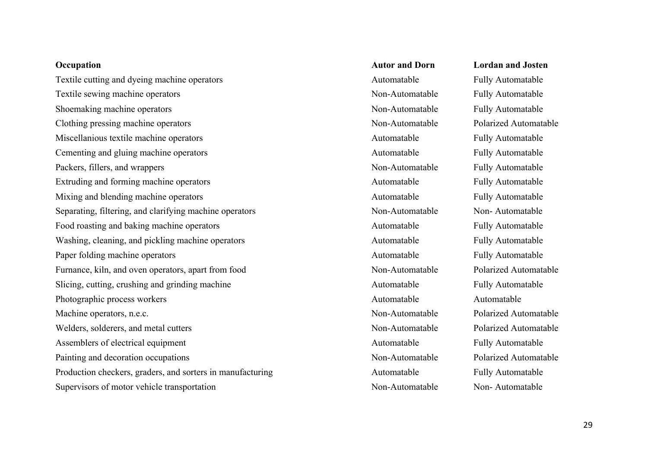| Occupation                                                 | <b>Autor and Dorn</b> | <b>Lordan and Josten</b> |
|------------------------------------------------------------|-----------------------|--------------------------|
| Textile cutting and dyeing machine operators               | Automatable           | <b>Fully Automatable</b> |
| Textile sewing machine operators                           | Non-Automatable       | Fully Automatable        |
| Shoemaking machine operators                               | Non-Automatable       | Fully Automatable        |
| Clothing pressing machine operators                        | Non-Automatable       | Polarized Automatable    |
| Miscellanious textile machine operators                    | Automatable           | Fully Automatable        |
| Cementing and gluing machine operators                     | Automatable           | Fully Automatable        |
| Packers, fillers, and wrappers                             | Non-Automatable       | Fully Automatable        |
| Extruding and forming machine operators                    | Automatable           | Fully Automatable        |
| Mixing and blending machine operators                      | Automatable           | Fully Automatable        |
| Separating, filtering, and clarifying machine operators    | Non-Automatable       | Non-Automatable          |
| Food roasting and baking machine operators                 | Automatable           | Fully Automatable        |
| Washing, cleaning, and pickling machine operators          | Automatable           | Fully Automatable        |
| Paper folding machine operators                            | Automatable           | Fully Automatable        |
| Furnance, kiln, and oven operators, apart from food        | Non-Automatable       | Polarized Automatable    |
| Slicing, cutting, crushing and grinding machine            | Automatable           | Fully Automatable        |
| Photographic process workers                               | Automatable           | Automatable              |
| Machine operators, n.e.c.                                  | Non-Automatable       | Polarized Automatable    |
| Welders, solderers, and metal cutters                      | Non-Automatable       | Polarized Automatable    |
| Assemblers of electrical equipment                         | Automatable           | <b>Fully Automatable</b> |
| Painting and decoration occupations                        | Non-Automatable       | Polarized Automatable    |
| Production checkers, graders, and sorters in manufacturing | Automatable           | <b>Fully Automatable</b> |
| Supervisors of motor vehicle transportation                | Non-Automatable       | Non-Automatable          |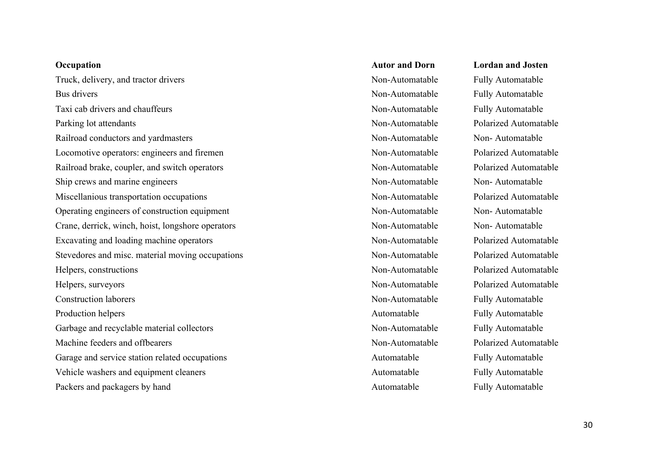Truck, delivery, and tractor drivers Truck, delivery, and tractor drivers Non-Automatable Fully Automatable Bus drivers **Non-Automatable** Fully Automatable Taxi cab drivers and chauffeurs and chauffeurs Non-Automatable Fully Automatable Fully Automatable Parking lot attendants **Non-Automatable** Polarized Automatable Railroad conductors and yardmasters Non-Automatable Non-Automatable Non-Automatable Locomotive operators: engineers and firemen Non-Automatable Polarized Automatable Railroad brake, coupler, and switch operators Non-Automatable Polarized Automatable Polarized Automatable Ship crews and marine engineers Non-Automatable Non-Automatable Non-Automatable Miscellanious transportation occupations  $\blacksquare$  Non-Automatable Polarized Automatable Operating engineers of construction equipment Non-Automatable Non-Automatable Non-Automatable Crane, derrick, winch, hoist, longshore operators Non-Automatable Non-Automatable Non-Automatable Excavating and loading machine operators Non-Automatable Polarized Automatable Polarized Automatable Stevedores and misc. material moving occupations Non-Automatable Polarized Automatable Helpers, constructions Non-Automatable Polarized Automatable Helpers, surveyors and the extended area of the Non-Automatable Polarized Automatable Polarized Automatable Construction laborers Non-Automatable Fully Automatable Production helpers **Automatable** Fully Automatable Fully Automatable Garbage and recyclable material collectors Non-Automatable Fully Automatable Fully Automatable Machine feeders and offbearers Non-Automatable Polarized Automatable Polarized Automatable Garage and service station related occupations and service station related occupations Automatable Fully Automatable Vehicle washers and equipment cleaners **Automatable** Automatable Fully Automatable Packers and packagers by hand and ackagers by hand Automatable Automatable Fully Automatable

**Occupation Autor and Dorn Lordan and Josten**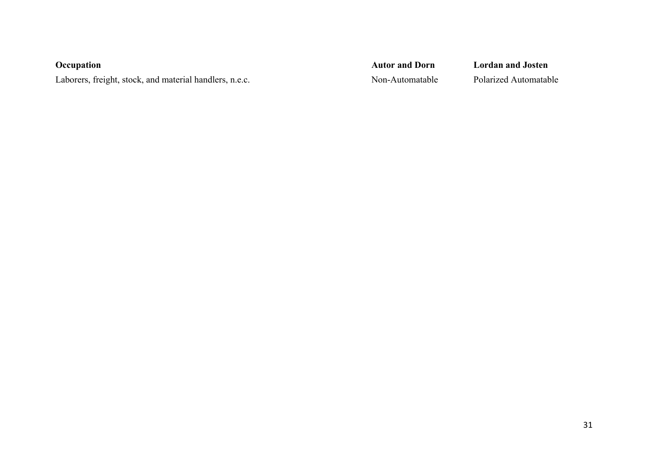**Occupation Autor and Dorn Lordan and Josten** Laborers, freight, stock, and material handlers, n.e.c. Non-Automatable Polarized Automatable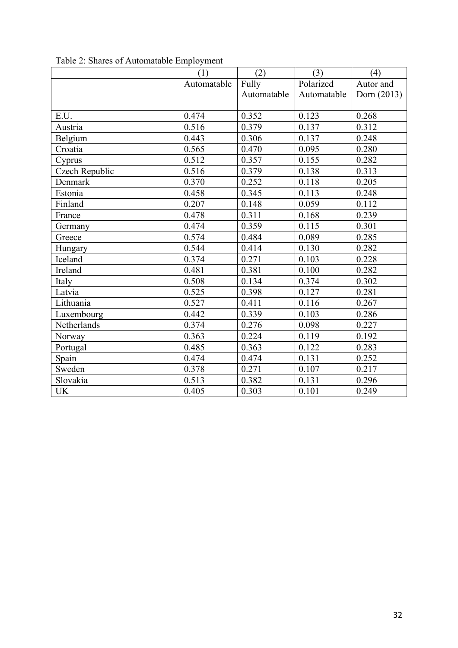|                | ┻<br>(1)    | (2)         | (3)         | (4)         |
|----------------|-------------|-------------|-------------|-------------|
|                | Automatable | Fully       | Polarized   | Autor and   |
|                |             | Automatable | Automatable | Dorn (2013) |
|                |             |             |             |             |
| E.U.           | 0.474       | 0.352       | 0.123       | 0.268       |
| Austria        | 0.516       | 0.379       | 0.137       | 0.312       |
| Belgium        | 0.443       | 0.306       | 0.137       | 0.248       |
| Croatia        | 0.565       | 0.470       | 0.095       | 0.280       |
| Cyprus         | 0.512       | 0.357       | 0.155       | 0.282       |
| Czech Republic | 0.516       | 0.379       | 0.138       | 0.313       |
| Denmark        | 0.370       | 0.252       | 0.118       | 0.205       |
| Estonia        | 0.458       | 0.345       | 0.113       | 0.248       |
| Finland        | 0.207       | 0.148       | 0.059       | 0.112       |
| France         | 0.478       | 0.311       | 0.168       | 0.239       |
| Germany        | 0.474       | 0.359       | 0.115       | 0.301       |
| Greece         | 0.574       | 0.484       | 0.089       | 0.285       |
| Hungary        | 0.544       | 0.414       | 0.130       | 0.282       |
| Iceland        | 0.374       | 0.271       | 0.103       | 0.228       |
| Ireland        | 0.481       | 0.381       | 0.100       | 0.282       |
| Italy          | 0.508       | 0.134       | 0.374       | 0.302       |
| Latvia         | 0.525       | 0.398       | 0.127       | 0.281       |
| Lithuania      | 0.527       | 0.411       | 0.116       | 0.267       |
| Luxembourg     | 0.442       | 0.339       | 0.103       | 0.286       |
| Netherlands    | 0.374       | 0.276       | 0.098       | 0.227       |
| Norway         | 0.363       | 0.224       | 0.119       | 0.192       |
| Portugal       | 0.485       | 0.363       | 0.122       | 0.283       |
| Spain          | 0.474       | 0.474       | 0.131       | 0.252       |
| Sweden         | 0.378       | 0.271       | 0.107       | 0.217       |
| Slovakia       | 0.513       | 0.382       | 0.131       | 0.296       |
| <b>UK</b>      | 0.405       | 0.303       | 0.101       | 0.249       |

Table 2: Shares of Automatable Employment